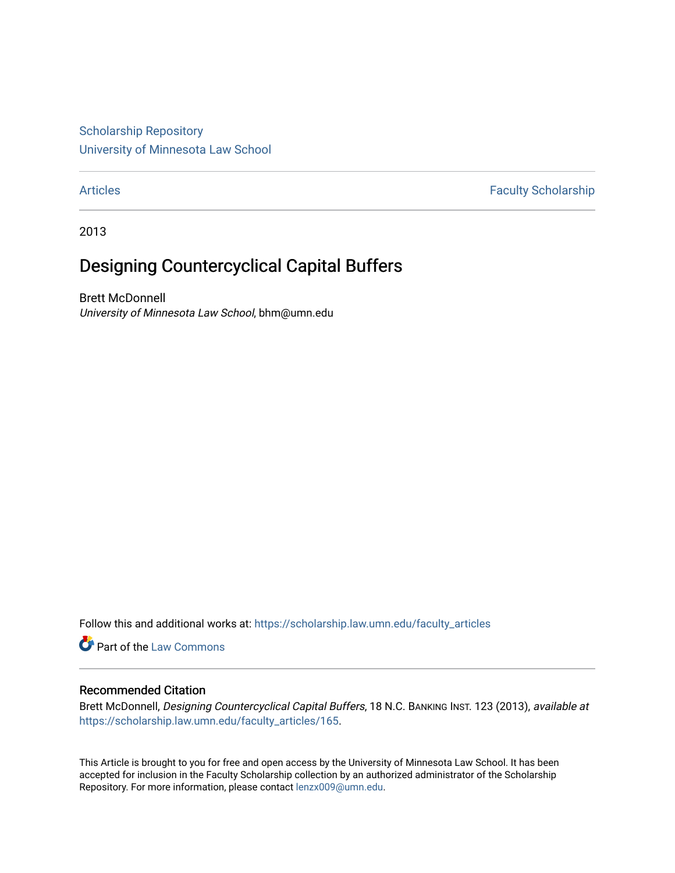[Scholarship Repository](https://scholarship.law.umn.edu/?utm_source=scholarship.law.umn.edu%2Ffaculty_articles%2F165&utm_medium=PDF&utm_campaign=PDFCoverPages) [University of Minnesota Law School](https://scholarship.law.umn.edu/?utm_source=scholarship.law.umn.edu%2Ffaculty_articles%2F165&utm_medium=PDF&utm_campaign=PDFCoverPages)

[Articles](https://scholarship.law.umn.edu/faculty_articles?utm_source=scholarship.law.umn.edu%2Ffaculty_articles%2F165&utm_medium=PDF&utm_campaign=PDFCoverPages) **Faculty Scholarship** 

2013

# Designing Countercyclical Capital Buffers

Brett McDonnell University of Minnesota Law School, bhm@umn.edu

Follow this and additional works at: [https://scholarship.law.umn.edu/faculty\\_articles](https://scholarship.law.umn.edu/faculty_articles?utm_source=scholarship.law.umn.edu%2Ffaculty_articles%2F165&utm_medium=PDF&utm_campaign=PDFCoverPages)

Part of the [Law Commons](https://network.bepress.com/hgg/discipline/578?utm_source=scholarship.law.umn.edu%2Ffaculty_articles%2F165&utm_medium=PDF&utm_campaign=PDFCoverPages)

# Recommended Citation

Brett McDonnell, Designing Countercyclical Capital Buffers, 18 N.C. BANKING INST. 123 (2013), available at [https://scholarship.law.umn.edu/faculty\\_articles/165](https://scholarship.law.umn.edu/faculty_articles/165?utm_source=scholarship.law.umn.edu%2Ffaculty_articles%2F165&utm_medium=PDF&utm_campaign=PDFCoverPages).

This Article is brought to you for free and open access by the University of Minnesota Law School. It has been accepted for inclusion in the Faculty Scholarship collection by an authorized administrator of the Scholarship Repository. For more information, please contact [lenzx009@umn.edu.](mailto:lenzx009@umn.edu)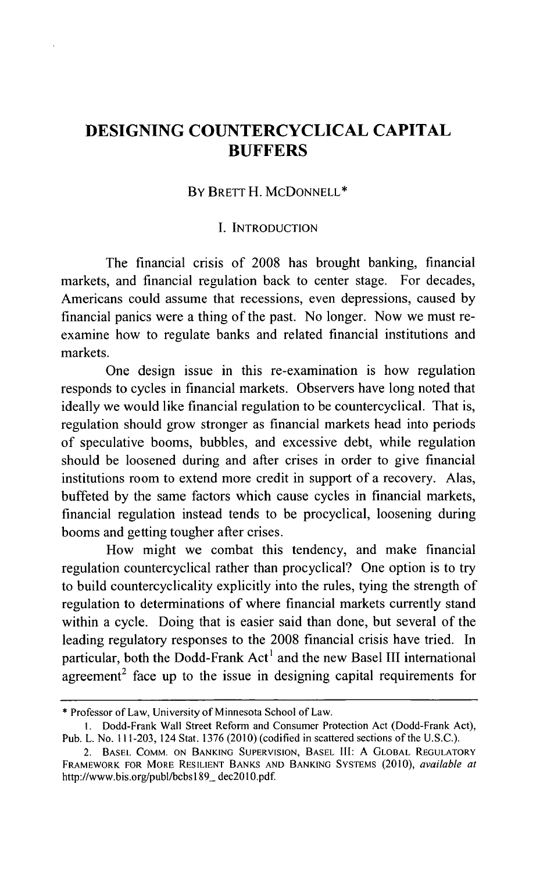# **DESIGNING COUNTERCYCLICAL CAPITAL BUFFERS**

# BY BRETT H. MCDONNELL\*

## **I.** INTRODUCTION

The financial crisis of **2008** has brought banking, financial markets, and financial regulation back to center stage. For decades, Americans could assume that recessions, even depressions, caused **by** financial panics were a thing of the past. No longer. Now we must reexamine how to regulate banks and related financial institutions and markets.

One design issue in this re-examination is how regulation responds to cycles in financial markets. Observers have long noted that ideally we would like financial regulation to be countercyclical. That **is,** regulation should grow stronger as financial markets head into periods of speculative booms, bubbles, and excessive debt, while regulation should be loosened during and after crises in order to give financial institutions room to extend more credit in support of a recovery. Alas, buffeted **by** the same factors which cause cycles in financial markets, financial regulation instead tends to be procyclical, loosening during booms and getting tougher after crises.

How might we combat this tendency, and make financial regulation countercyclical rather than procyclical? One option is to try to build countercyclicality explicitly into the rules, tying the strength of regulation to determinations of where financial markets currently stand within a cycle. Doing that is easier said than done, but several of the leading regulatory responses to the **2008** financial crisis have tried. In particular, both the Dodd-Frank Act' and the new Basel **III** international agreement<sup>2</sup> face up to the issue in designing capital requirements for

<sup>\*</sup> Professor of Law, University of Minnesota School of Law.

**<sup>1.</sup>** Dodd-Frank Wall Street Reform and Consumer Protection Act (Dodd-Frank Act), Pub. L. No. **111-203,** 124 Stat. **1376** (2010) (codified in scattered sections of the **U.S.C.).**

<sup>2.</sup> **BASEL** COMM. **ON BANKING SUPERVISION, BASEL Ill: A GLOBAL REGULATORY FRAMEWORK FOR MORE RESILIENT BANKS AND BANKING SYSTEMS** (2010), available at http://www.bis.org/publ/bcbs189\_ dec20 **10.pdf.**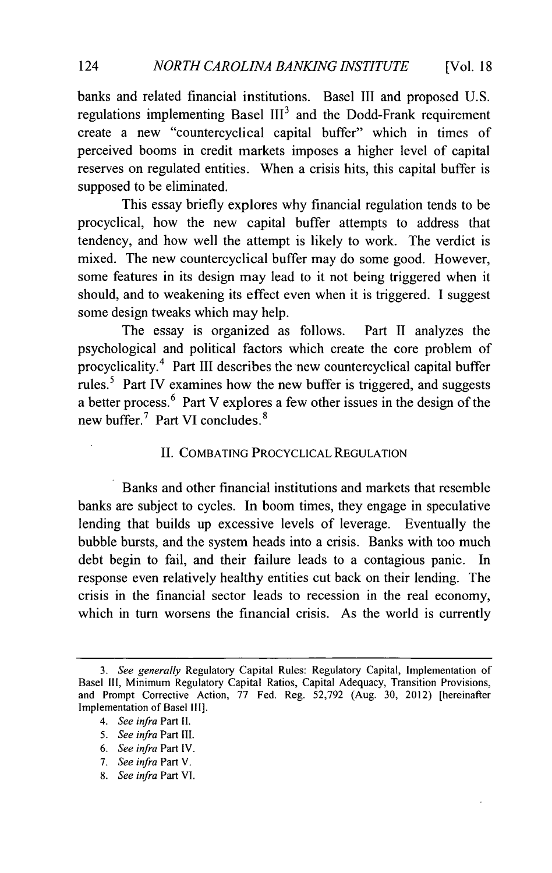banks and related financial institutions. Basel **III** and proposed **U.S.** regulations implementing Basel  $III<sup>3</sup>$  and the Dodd-Frank requirement create a new "countercyclical capital buffer" which in times of perceived booms in credit markets imposes a higher level of capital reserves on regulated entities. When a crisis hits, this capital buffer is supposed to be eliminated.

This essay briefly explores why financial regulation tends to be procyclical, how the new capital buffer attempts to address that tendency, and how well the attempt is likely to work. The verdict is mixed. The new countercyclical buffer may do some good. However, some features in its design may lead to it not being triggered when it should, and to weakening its effect even when it is triggered. **I** suggest some design tweaks which may help.

The essay is organized as follows. Part II analyzes the psychological and political factors which create the core problem of procyclicality. 4 Part **III** describes the new countercyclical capital buffer rules.<sup>5</sup> Part IV examines how the new buffer is triggered, and suggests a better process. 6 Part V explores a few other issues in the design of the new buffer.<sup>7</sup> Part VI concludes.<sup>8</sup>

# **II. COMBATING** PROCYCLICAL **REGULATION**

Banks and other financial institutions and markets that resemble banks are subject to cycles. In boom times, they engage in speculative lending that builds up excessive levels of leverage. Eventually the bubble bursts, and the system heads into a crisis. Banks with too much debt begin to fail, and their failure leads to a contagious panic. In response even relatively healthy entities cut back on their lending. The crisis in the financial sector leads to recession in the real economy, which in turn worsens the financial crisis. As the world is currently

- 4. *See infra Part* II.
- *5. See infra* Part III.
- **6.** *See infra* Part IV.
- **7.** *See infra* Part V.
- **8.** *See infra* Part VI.

*<sup>3.</sup> See generally* Regulatory Capital Rules: Regulatory Capital, Implementation of Basel **III,** Minimum Regulatory Capital Ratios, Capital Adequacy, Transition Provisions, and Prompt Corrective Action, **77** Fed. Reg. **52,792** (Aug. **30,** 2012) [hereinafter Implementation of Basel **Ill].**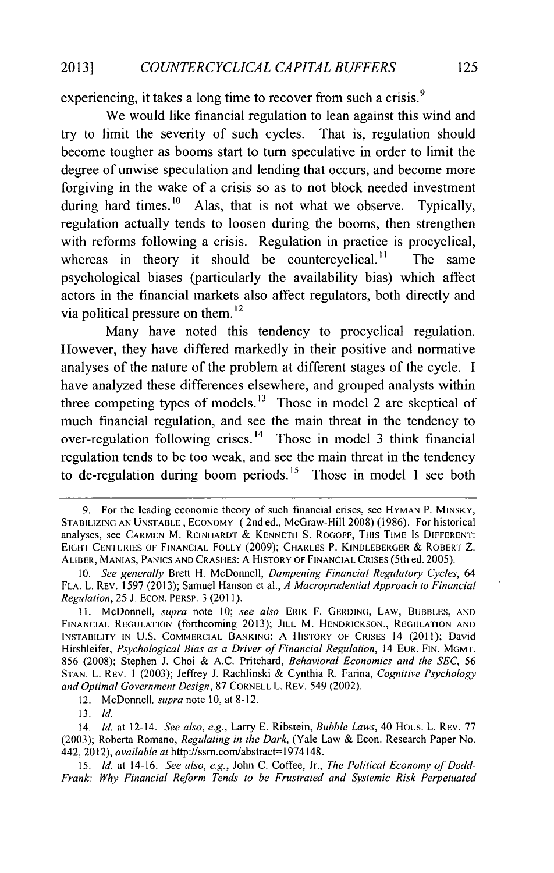experiencing, it takes a long time to recover from such a crisis.<sup>9</sup>

We would like financial regulation to lean against this wind and try to limit the severity of such cycles. That is, regulation should become tougher as booms start to turn speculative in order to limit the degree of unwise speculation and lending that occurs, and become more forgiving in the wake of a crisis so as to not block needed investment during hard times.<sup>10</sup> Alas, that is not what we observe. Typically, regulation actually tends to loosen during the booms, then strengthen with reforms following a crisis. Regulation in practice is procyclical, whereas in theory it should be countercyclical.<sup>11</sup> The same psychological biases (particularly the availability bias) which affect actors in the financial markets also affect regulators, both directly and via political pressure on them. $<sup>12</sup>$ </sup>

Many have noted this tendency to procyclical regulation. However, they have differed markedly in their positive and normative analyses of the nature of the problem at different stages of the cycle. **I** have analyzed these differences elsewhere, and grouped analysts within three competing types of models.<sup>13</sup> Those in model 2 are skeptical of much financial regulation, and see the main threat in the tendency to over-regulation following crises. 14 Those in model **3** think financial regulation tends to be too weak, and see the main threat in the tendency to de-regulation during boom periods.<sup>15</sup> Those in model 1 see both

12. McDonnell, *supra* note **10,** at **8-12.**

*13. Id.*

**<sup>9.</sup>** For the leading economic theory of such financial crises, see HYMAN P. MINSKY, **STABILIZING AN UNSTABLE, ECONOMY (** 2nd ed., McGraw-Hill **2008) (1986).** For historical analyses, see **CARMEN** M. **REINHARDT & KENNETH S.** ROGOFF, **THIS TIME** Is DIFFERENT: **EIGHT CENTURIES** OF **FINANCIAL FOLLY (2009);** CHARLES P. KINDLEBERGER **&** ROBERT Z. **ALIBER, MANIAS, PANICS AND CRASHES: A HISTORY OF FINANCIAL CRISES** (5th ed. **2005).**

*<sup>10.</sup> See generally* Brett H. McDonnell, *Dampening Financial Regulatory Cycles, 64* **FLA.** L. **REV. 1597 (2013);** Samuel Hanson et al., *A Macroprudential Approach to Financial Regulation,* **25 J. ECON. PERSP. 3 (2011).**

**<sup>11.</sup>** McDonnell, *supra note 10; see also* **ERIK** F. **GERDING, LAW, BUBBLES, AND FINANCIAL REGULATION** (forthcoming **2013); JILL** M. **HENDRICKSON., REGULATION AND** INSTABILITY **IN U.S. COMMERCIAL BANKING: A** HISTORY OF **CRISES** 14 **(2011);** David Hirshleifer, *Psychological Bias as a Driver of Financial Regulation,* <sup>14</sup>**EUR. FIN.** MGMT. **856 (2008);** Stephen **J.** Choi **& A.C.** Pritchard, *Behavioral Economics and the SEC, 56* **STAN.** L. REV. **1 (2003);** Jeffrey **J.** Rachlinski **&** Cynthia R. Farina, *Cognitive Psychology and Optimal Government Design,* **87** CORNELL L. REv. 549 (2002).

*<sup>14.</sup> Id.* at 12-14. *See also, e.g.,* Larry **E.** Ribstein, *Bubble Laws,* 40 Hous. L. REV. **77 (2003);** Roberta Romano, *Regulating in the Dark,* (Yale Law **&** Econ. Research Paper No. 442, 2012), *available at* http://ssm.com/abstract=1974148.

*<sup>15.</sup> Id.* at 14-16. *See also, e.g.,* John **C.** Coffee, Jr., *The Political Economy of Dodd-Frank: Why Financial Reform Tends to be Frustrated and Systemic Risk Perpetuated*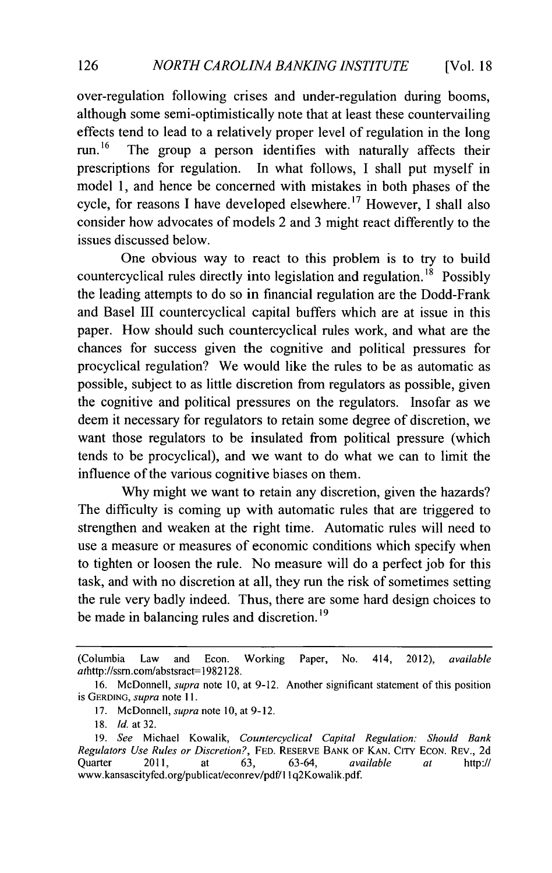over-regulation following crises and under-regulation during booms, although some semi-optimistically note that at least these countervailing effects tend to lead to a relatively proper level of regulation in the long run.<sup>16</sup> The group a person identifies with naturally affects their prescriptions for regulation. In what follows, **I** shall put myself in model **1,** and hence be concerned with mistakes in both phases of the cycle, for reasons **I** have developed elsewhere.17 However, **I** shall also consider how advocates of models 2 and **3** might react differently to the issues discussed below.

One obvious way to react to this problem is to try to build countercyclical rules directly into legislation and regulation.<sup>18</sup> Possibly the leading attempts to do so in financial regulation are the Dodd-Frank and Basel **III** countercyclical capital buffers which are at issue in this paper. How should such countercyclical rules work, and what are the chances for success given the cognitive and political pressures for procyclical regulation? We would like the rules to be as automatic as possible, subject to as little discretion from regulators as possible, given the cognitive and political pressures on the regulators. Insofar as we deem it necessary for regulators to retain some degree of discretion, we want those regulators to be insulated from political pressure (which tends to be procyclical), and we want to do what we can to limit the influence of the various cognitive biases on them.

**Why** might we want to retain any discretion, given the hazards? The difficulty is coming up with automatic rules that are triggered to strengthen and weaken at the right time. Automatic rules will need to use a measure or measures of economic conditions which specify when to tighten or loosen the rule. No measure will do a perfect **job** for this task, and with no discretion at all, they run the risk of sometimes setting the rule very badly indeed. Thus, there are some hard design choices to be made in balancing rules and discretion.<sup>19</sup>

<sup>(</sup>Columbia Law and Econ. Working Paper, No. 414, *2012), available* athttp://ssrn.com/abstsract=1982128.

**<sup>16.</sup>** McDonnell, supra note **10,** at **9-12.** Another significant statement of this position is **GERDING,** supra *note* **11.**

**<sup>17.</sup>** McDonnell, *supra note* **10,** at **9-12.**

**<sup>18.</sup>** *Id.* at **32.**

*<sup>19.</sup> See* Michael Kowalik, *Countercyclical Capital Regulation: Should Bank Regulators Use Rules or Discretion?,* **FED. RESERVE BANK OF KAN.** CiTy **ECON. REV., 2d** Quarter 2011, at **63, 63-64,** *available at http://* www.kansascityfed.org/publicat/econrev/pdf/ I q2Kowalik.pdf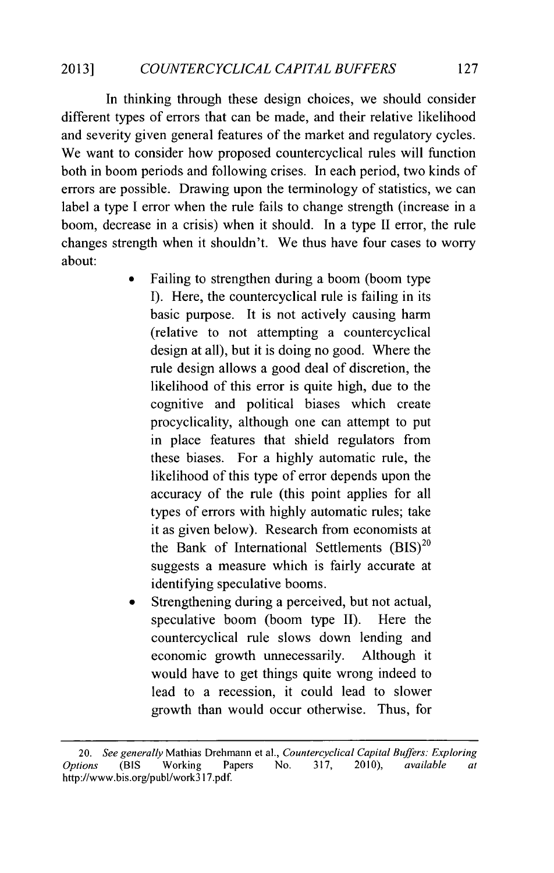In thinking through these design choices, we should consider different types of errors that can be made, and their relative likelihood and severity given general features of the market and regulatory cycles. We want to consider how proposed countercyclical rules will function both in boom periods and following crises. In each period, two kinds of errors are possible. Drawing upon the terminology of statistics, we can label a type I error when the rule fails to change strength (increase in a boom, decrease in a crisis) when it should. In a type II error, the rule changes strength when it shouldn't. We thus have four cases to worry about:

- Failing to strengthen during a boom (boom type) **I).** Here, the countercyclical rule is failing in its basic purpose. It is not actively causing harm (relative to not attempting a countercyclical design at all), but it is doing no good. Where the rule design allows a good deal of discretion, the likelihood of this error is quite high, due to the cognitive and political biases which create procyclicality, although one can attempt to put in place features that shield regulators from these biases. For a **highly** automatic rule, the likelihood of this type of error depends upon the accuracy of the rule (this point applies for all types of errors with **highly** automatic rules; take it as given below). Research from economists at the Bank of International Settlements  $(BIS)^{20}$ suggests a measure which is fairly accurate at identifying speculative booms.
- Strengthening during a perceived, but not actual, speculative boom (boom type **II).** Here the countercyclical rule slows down lending and economic growth unnecessarily. Although it would have to get things quite wrong indeed to lead to a recession, it could lead to slower growth than would occur otherwise. Thus, for

*<sup>20.</sup> See generally* Mathias Drehmann et al., *Countercyclical Capital Buffers: Exploring Options* (BIS Working Papers No. **317,** 2010), *available at* http://www.bis.org/publ/work317.pdf.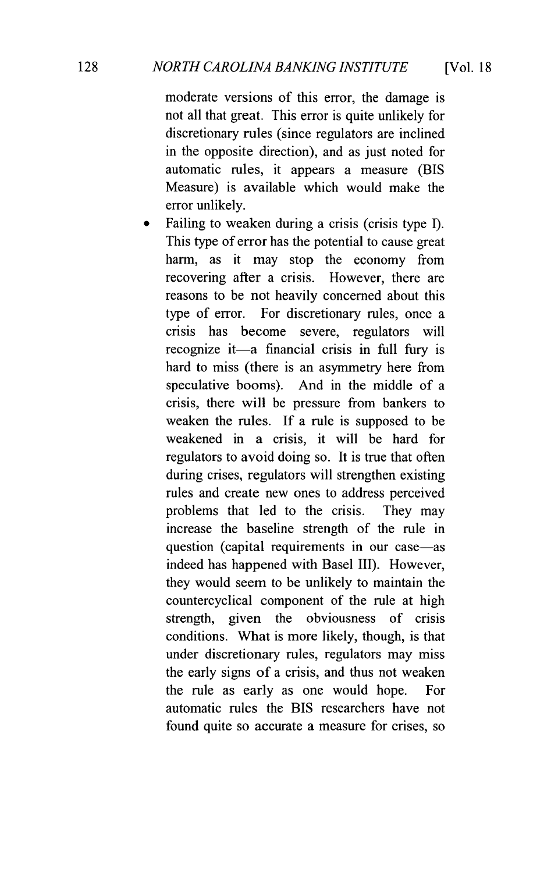# 128 *NORTH CAROLINA BANKING INSTITUTE* [Vol. 18

moderate versions of this error, the damage is not all that great. This error is quite unlikely for discretionary rules (since regulators are inclined in the opposite direction), and as just noted for automatic rules, it appears a measure (BIS Measure) is available which would make the error unlikely.

Failing to weaken during a crisis (crisis type **I).**  $\bullet$ This type of error has the potential to cause great harm, as it may stop the economy from recovering after a crisis. However, there are reasons to be not heavily concerned about this type of error. For discretionary rules, once a crisis has become severe, regulators will recognize it—a financial crisis in full fury is hard to miss (there is an asymmetry here from speculative booms). And in the middle of a crisis, there will be pressure from bankers to weaken the rules. **If** a rule is supposed to be weakened in a crisis, it will be hard for regulators to avoid doing so. It is true that often during crises, regulators will strengthen existing rules and create new ones to address perceived problems that led to the crisis. They may increase the baseline strength of the rule in question (capital requirements in our case-as indeed has happened with Basel **III).** However, they would seem to be unlikely to maintain the countercyclical component of the rule at high strength, given the obviousness of crisis conditions. What is more likely, though, is that under discretionary rules, regulators may miss the early signs of a crisis, and thus not weaken the rule as early as one would hope. For automatic rules the BIS researchers have not found quite so accurate a measure for crises, so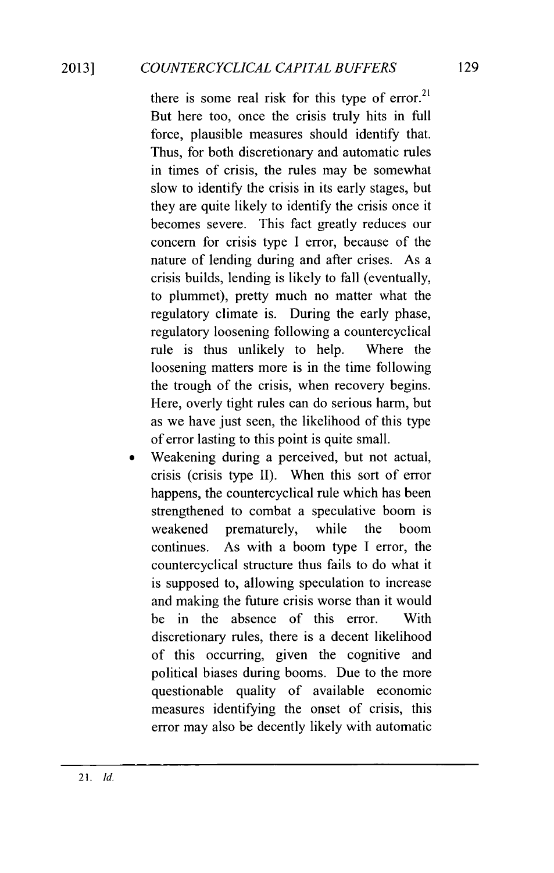there is some real risk for this type of error.<sup>21</sup> But here too, once the crisis truly hits in full force, plausible measures should identify that. Thus, for both discretionary and automatic rules in times of crisis, the rules may be somewhat slow to identify the crisis in its early stages, but they are quite likely to identify the crisis once it becomes severe. This fact greatly reduces our concern for crisis type **I** error, because of the nature of lending during and after crises. As a crisis builds, lending is likely to fall (eventually, to plummet), pretty much no matter what the regulatory climate is. During the early phase, regulatory loosening following a countercyclical rule is thus unlikely to help. Where the loosening matters more is in the time following the trough of the crisis, when recovery begins. Here, overly tight rules can do serious harm, but as we have just seen, the likelihood of this type of error lasting to this point is quite small.

Weakening during a perceived, but not actual, crisis (crisis type **II).** When this sort of error happens, the countercyclical rule which has been strengthened to combat a speculative boom is weakened prematurely, while the boom continues. As with a boom type **I** error, the countercyclical structure thus fails to do what it is supposed to, allowing speculation to increase and making the future crisis worse than it would be in the absence of this error. With discretionary rules, there is a decent likelihood of this occurring, given the cognitive and political biases during booms. Due to the more questionable quality of available economic measures identifying the onset of crisis, this error may also be decently likely with automatic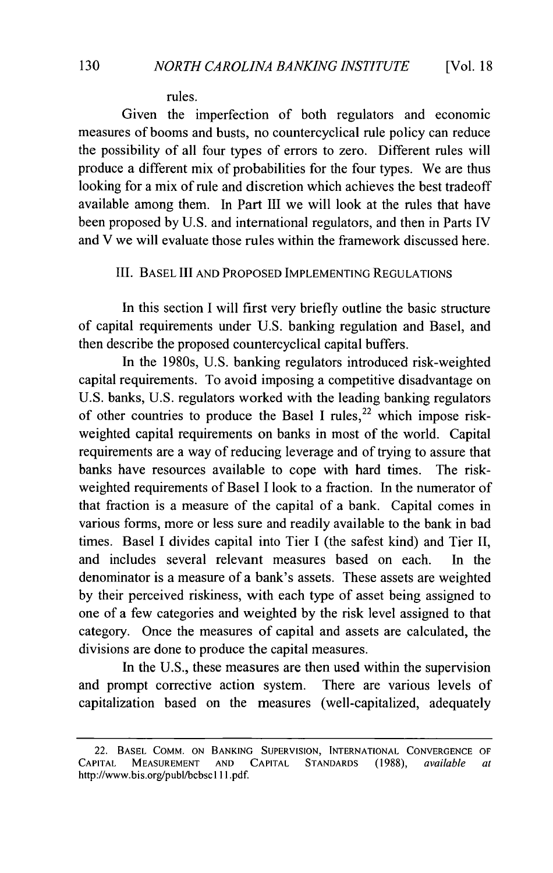### rules.

Given the imperfection of both regulators and economic measures of booms and busts, no countercyclical rule policy can reduce the possibility of all four types of errors to zero. Different rules will produce a different mix of probabilities for the four types. We are thus looking for a mix of rule and discretion which achieves the best tradeoff available among them. In Part **III** we will look at the rules that have been proposed **by U.S.** and international regulators, and then in Parts IV and V we will evaluate those rules within the framework discussed here.

### III. **BASEL III AND** PROPOSED **IMPLEMENTING REGULATIONS**

In this section **I** will first very briefly outline the basic structure of capital requirements under **U.S.** banking regulation and Basel, and then describe the proposed countercyclical capital buffers.

In the 1980s, **U.S.** banking regulators introduced risk-weighted capital requirements. To avoid imposing a competitive disadvantage on **U.S.** banks, **U.S.** regulators worked with the leading banking regulators of other countries to produce the Basel **I** rules, 22 which impose riskweighted capital requirements on banks in most of the world. Capital requirements are a way of reducing leverage and of trying to assure that banks have resources available to cope with hard times. The riskweighted requirements of Basel **I** look to a fraction. In the numerator of that fraction is a measure of the capital of a bank. Capital comes in various forms, more or less sure and readily available to the bank in bad times. Basel **I** divides capital into Tier **I** (the safest kind) and Tier II, and includes several relevant measures based on each. In the denominator is a measure of a bank's assets. These assets are weighted **by** their perceived riskiness, with each type of asset being assigned to one of a few categories and weighted **by** the risk level assigned to that category. Once the measures of capital and assets are calculated, the divisions are done to produce the capital measures.

In the **U.S.,** these measures are then used within the supervision and prompt corrective action system. There are various levels of capitalization based on the measures (well-capitalized, adequately

<sup>22.</sup> **BASEL COMM. ON BANKING SUPERVISION, INTERNATIONAL CONVERGENCE OF CAPITAL MEASUREMENT AND CAPITAL STANDARDS (1988),** available at http://www.bis.org/publ/bcbsc11 **.pdf.**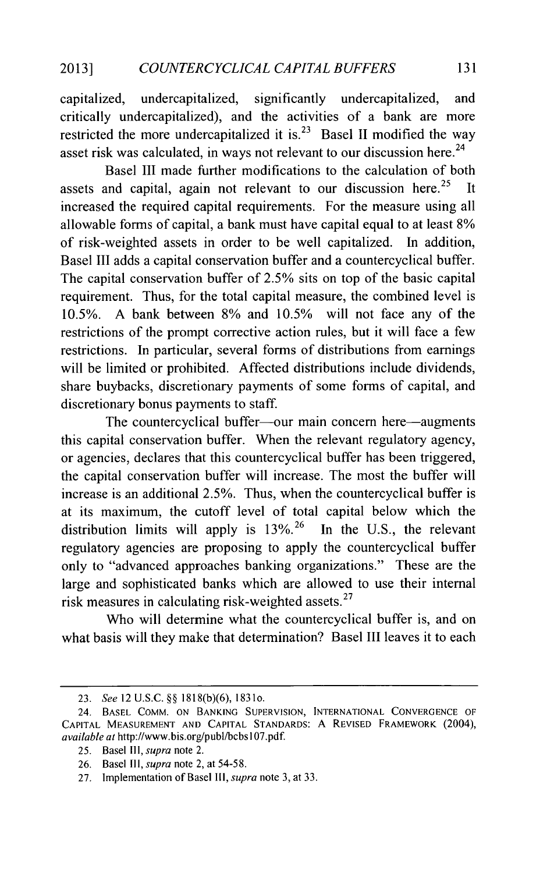capitalized, undercapitalized, significantly undercapitalized, and critically undercapitalized), and the activities of a bank are more restricted the more undercapitalized it is.<sup>23</sup> Basel II modified the way asset risk was calculated, in ways not relevant to our discussion here.<sup>24</sup>

Basel **III** made further modifications to the calculation of both assets and capital, again not relevant to our discussion here.<sup>25</sup> It increased the required capital requirements. For the measure using all allowable forms of capital, a bank must have capital equal to at least **8%** of risk-weighted assets in order to be well capitalized. In addition, Basel **III** adds a capital conservation buffer and a countercyclical buffer. The capital conservation buffer of **2.5%** sits on top of the basic capital requirement. Thus, for the total capital measure, the combined level **is 10.5%. A** bank between **8%** and **10.5%** will not face any of the restrictions of the prompt corrective action rules, but it will face a few restrictions. In particular, several forms of distributions from earnings will be limited or prohibited. Affected distributions include dividends, share buybacks, discretionary payments of some forms of capital, and discretionary bonus payments to staff.

The countercyclical buffer-our main concern here-augments this capital conservation buffer. When the relevant regulatory agency, or agencies, declares that this countercyclical buffer has been triggered, the capital conservation buffer will increase. The most the buffer will increase is an additional **2.5%.** Thus, when the countercyclical buffer **is** at its maximum, the cutoff level of total capital below which the distribution limits will apply is **13%.26** In the **U.S.,** the relevant regulatory agencies are proposing to apply the countercyclical buffer only to "advanced approaches banking organizations." These are the large and sophisticated banks which are allowed to use their internal risk measures in calculating risk-weighted assets.<sup>27</sup>

Who will determine what the countercyclical buffer is, and on what basis will they make that determination? Basel **III** leaves it to each

*<sup>23.</sup> See* 12 **U.S.C. §§ 1818(b)(6),** 1831o.

**<sup>24.</sup> BASEL COMM. ON BANKING SUPERVISION, INTERNATIONAL CONVERGENCE OF CAPITAL MEASUREMENT AND CAPITAL STANDARDS: A REVISED FRAMEWORK** (2004), *available at* http://www.bis.org/publ/bcbsI07.pdf.

**<sup>25.</sup>** Basel Ill, *supra* note 2.

**<sup>26.</sup>** Basel ill, *supra* note 2, at 54-58.

**<sup>27.</sup>** Implementation of Basel III, *supra* note **3,** at **33.**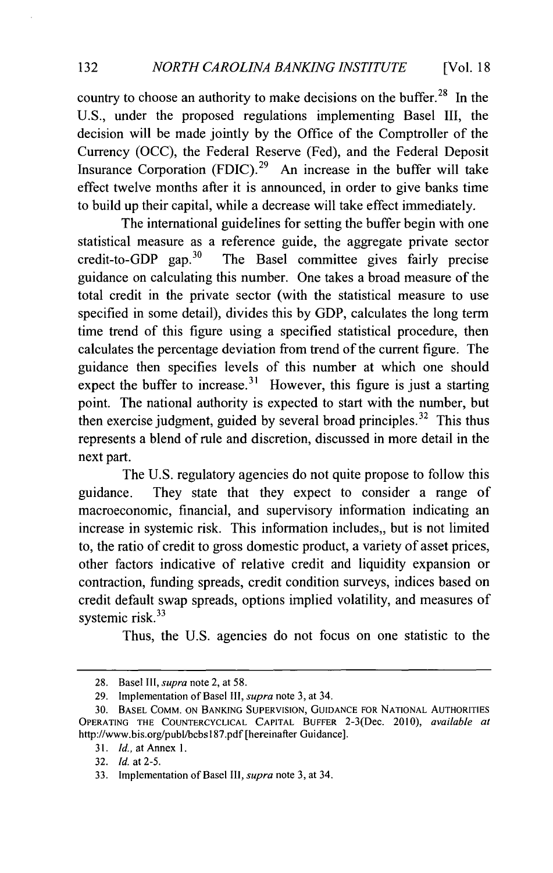country to choose an authority to make decisions on the buffer.<sup>28</sup> In the **U.S.,** under the proposed regulations implementing Basel III, the decision will be made jointly **by** the Office of the Comptroller of the Currency **(OCC),** the Federal Reserve (Fed), and the Federal Deposit Insurance Corporation  $(FDIC)$ .<sup>29</sup> An increase in the buffer will take effect twelve months after it is announced, in order to give banks time to build up their capital, while a decrease will take effect immediately.

The international guidelines for setting the buffer begin with one statistical measure as a reference guide, the aggregate private sector credit-to-GDP gap.<sup>30</sup> The Basel committee gives fairly precise guidance on calculating this number. One takes a broad measure of the total credit in the private sector (with the statistical measure to use specified in some detail), divides this **by GDP,** calculates the long term time trend of this figure using a specified statistical procedure, then calculates the percentage deviation from trend of the current figure. The guidance then specifies levels of this number at which one should expect the buffer to increase.<sup>31</sup> However, this figure is just a starting point. The national authority is expected to start with the number, but then exercise judgment, guided **by** several broad principles. 32 This thus represents a blend of rule and discretion, discussed in more detail in the next part.

The **U.S.** regulatory agencies do not quite propose to follow this guidance. They state that they expect to consider a range of macroeconomic, financial, and supervisory information indicating an increase in systemic risk. This information includes,, but is not limited to, the ratio of credit to gross domestic product, a variety of asset prices, other factors indicative of relative credit and liquidity expansion or contraction, funding spreads, credit condition surveys, indices based on credit default swap spreads, options implied volatility, and measures of systemic risk.<sup>33</sup>

Thus, the **U.S.** agencies do not focus on one statistic to the

**<sup>28.</sup>** Basel Ill, *supra* note 2, at **58.**

**<sup>29.</sup>** Implementation of Basel III, *supra* note **3,** at 34.

**<sup>30.</sup> BASEL COMM. ON BANKING SUPERVISION, GUIDANCE FOR NATIONAL AUTHORITIES OPERATING THE COUNTERCYCLICAL CAPITAL BUFFER** 2-3(Dec. 2010), *available at* http://www.bis.org/publ/bcbsl87.pdf [hereinafter Guidance].

*<sup>31.</sup> Id.,* at Annex **1.**

**<sup>32.</sup>** *Id.* at **2-5.**

**<sup>33.</sup>** Implementation of Basel III, *supra* note **3,** at 34.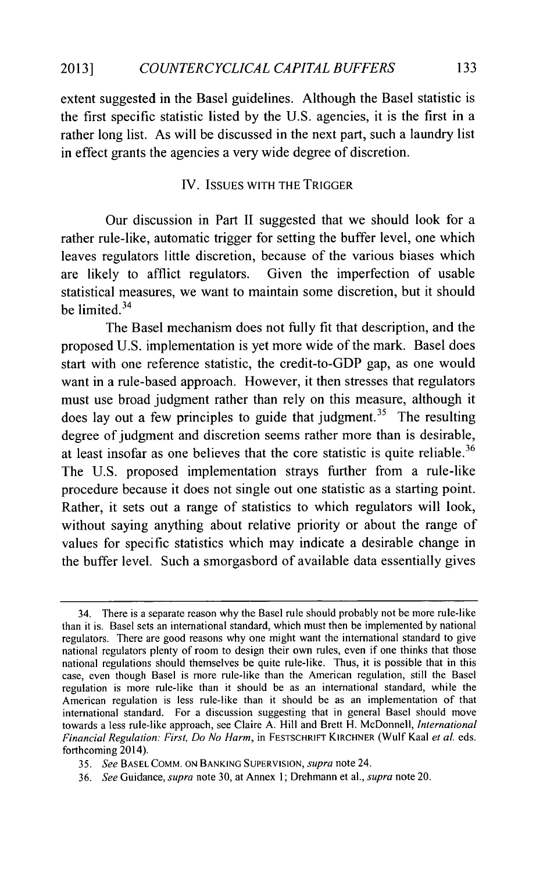extent suggested in the Basel guidelines. Although the Basel statistic **is** the first specific statistic listed **by** the **U.S.** agencies, it is the first in a rather long list. As will be discussed in the next part, such a laundry list in effect grants the agencies a very wide degree of discretion.

### IV. **ISSUES** WITH THE TRIGGER

Our discussion in Part II suggested that we should look for a rather rule-like, automatic trigger for setting the buffer level, one which leaves regulators little discretion, because of the various biases which are likely to afflict regulators. Given the imperfection of usable statistical measures, we want to maintain some discretion, but it should be limited.34

The Basel mechanism does not fully fit that description, and the proposed **U.S.** implementation is yet more wide of the mark. Basel does start with one reference statistic, the credit-to-GDP gap, as one would want in a rule-based approach. However, it then stresses that regulators must use broad judgment rather than rely on this measure, although it does lay out a few principles to guide that judgment.<sup>35</sup> The resulting degree of judgment and discretion seems rather more than is desirable, at least insofar as one believes that the core statistic **is** quite reliable. <sup>36</sup> The **U.S.** proposed implementation strays further from a rule-like procedure because it does not single out one statistic as a starting point. Rather, it sets out a range of statistics to which regulators will look, without saying anything about relative priority or about the range of values for specific statistics which may indicate a desirable change in the buffer level. Such a smorgasbord of available data essentially gives

<sup>34.</sup> There is a separate reason why the Basel rule should probably not be more rule-like than it is. Basel sets an international standard, which must then be implemented **by** national regulators. There are good reasons why one might want the international standard to give national regulators plenty of room to design their own rules, even if one thinks that those national regulations should themselves be quite rule-like. Thus, it is possible that in this case, even though Basel is more rule-like than the American regulation, still the Basel regulation is more rule-like than it should be as an international standard, while the American regulation is less rule-like than it should be as an implementation of that international standard. For a discussion suggesting that in general Basel should move towards a less rule-like approach, see Claire **A.** Hill and Brett H. McDonnell, *International Financial Regulation: First, Do No Harm,* in **FESTSCHRIFT KIRCHNER** (Wulf Kaal *et al.* eds. forthcoming 2014).

**<sup>35.</sup>** See **BASEL** COMM. **ON BANKING SUPERVISION,** *supra* note 24.

*<sup>36.</sup>* See *Guidance, supra* note **30,** at Annex **1;** Drehmann et al., *supra* note 20.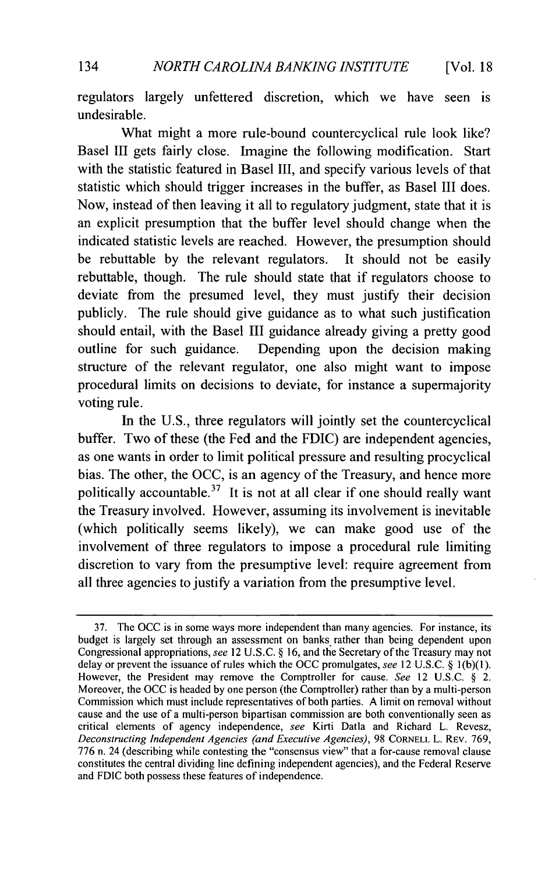regulators largely unfettered discretion, which we have seen is undesirable.

What might a more rule-bound countercyclical rule look like? Basel **III** gets fairly close. Imagine the following modification. Start with the statistic featured in Basel III, and specify various levels of that statistic which should trigger increases in the buffer, as Basel **III** does. Now, instead of then leaving it all to regulatory judgment, state that it **is** an explicit presumption that the buffer level should change when the indicated statistic levels are reached. However, the presumption should be rebuttable **by** the relevant regulators. It should not be easily rebuttable, though. The rule should state that if regulators choose to deviate from the presumed level, they must justify their decision publicly. The rule should give guidance as to what such justification should entail, with the Basel **III** guidance already giving a pretty good outline for such guidance. Depending upon the decision making structure of the relevant regulator, one also might want to impose procedural limits on decisions to deviate, for instance a supermajority voting rule.

In the **U.S.,** three regulators will jointly set the countercyclical buffer. Two of these (the Fed and the **FDIC)** are independent agencies, as one wants in order to limit political pressure and resulting procyclical bias. The other, the **OCC,** is an agency of the Treasury, and hence more politically accountable.<sup>37</sup> It is not at all clear if one should really want the Treasury involved. However, assuming its involvement is inevitable (which politically seems likely), we can make good use of the involvement of three regulators to impose a procedural rule limiting discretion to vary from the presumptive level: require agreement from all three agencies to justify a variation from the presumptive level.

**<sup>37.</sup>** The **OCC** is in some ways more independent than many agencies. For instance, its budget is largely set through an assessment on banks rather than being dependent upon Congressional appropriations, *see* 12 **U.S.C.** *§* **16,** and the Secretary of the Treasury may not delay or prevent the issuance of rules which the **OCC** promulgates, *see* 12 **U.S.C.** *§* **1(b)(1).** However, the President may remove the Comptroller for cause. *See* 12 **U.S.C.** *§* 2. Moreover, the **OCC** is headed **by** one person (the Comptroller) rather than **by** a multi-person Commission which must include representatives of both parties. **A** limit on removal without cause and the use of a multi-person bipartisan commission are both conventionally seen as critical elements of agency independence, *see* Kirti Datla and Richard L. Revesz, *Deconstructing Independent Agencies (and Executive Agencies),* **98 CORNELL** L. **REV. 769, 776** n. 24 (describing while contesting the "consensus view" that a for-cause removal clause constitutes the central dividing line defining independent agencies), and the Federal Reserve and **FDIC** both possess these features of independence.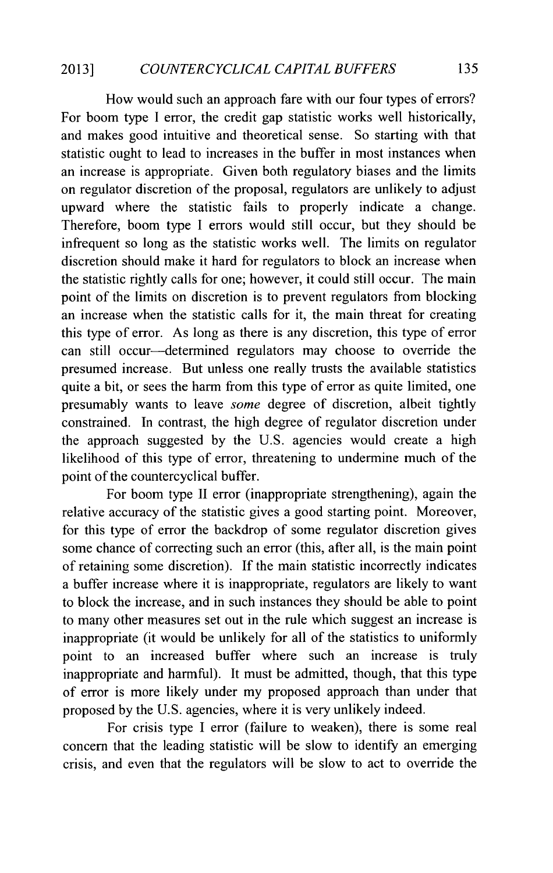# *COUNTERCYCLICAL CAPITAL BUFFERS* **2013] 135**

How would such an approach fare with our four types of errors? For boom type **I** error, the credit gap statistic works well historically, and makes good intuitive and theoretical sense. So starting with that statistic ought to lead to increases in the buffer in most instances when an increase is appropriate. Given both regulatory biases and the limits on regulator discretion of the proposal, regulators are unlikely to adjust upward where the statistic fails to properly indicate a change. Therefore, boom type **I** errors would still occur, but they should be infrequent so long as the statistic works well. The limits on regulator discretion should make it hard for regulators to block an increase when the statistic rightly calls for one; however, it could still occur. The main point of the limits on discretion is to prevent regulators from blocking an increase when the statistic calls for it, the main threat for creating this type of error. As long as there is any discretion, this type of error can still occur-determined regulators may choose to override the presumed increase. But unless one really trusts the available statistics quite a bit, or sees the harm from this type of error as quite limited, one presumably wants to leave *some* degree of discretion, albeit tightly constrained. In contrast, the high degree of regulator discretion under the approach suggested **by** the **U.S.** agencies would create a **high** likelihood of this type of error, threatening to undermine much of the point of the countercyclical buffer.

For boom type II error (inappropriate strengthening), again the relative accuracy of the statistic gives a good starting point. Moreover, for this type of error the backdrop of some regulator discretion gives some chance of correcting such an error (this, after all, is the main point of retaining some discretion). **If** the main statistic incorrectly indicates a buffer increase where it is inappropriate, regulators are likely to want to block the increase, and in such instances they should be able to point to many other measures set out in the rule which suggest an increase is inappropriate (it would be unlikely for all of the statistics to uniformly point to an increased buffer where such an increase is truly inappropriate and harmful). It must be admitted, though, that this type of error is more likely under my proposed approach than under that proposed **by** the **U.S.** agencies, where it is very unlikely indeed.

For crisis type **I** error (failure to weaken), there is some real concern that the leading statistic will be slow to identify an emerging crisis, and even that the regulators will be slow to act to override the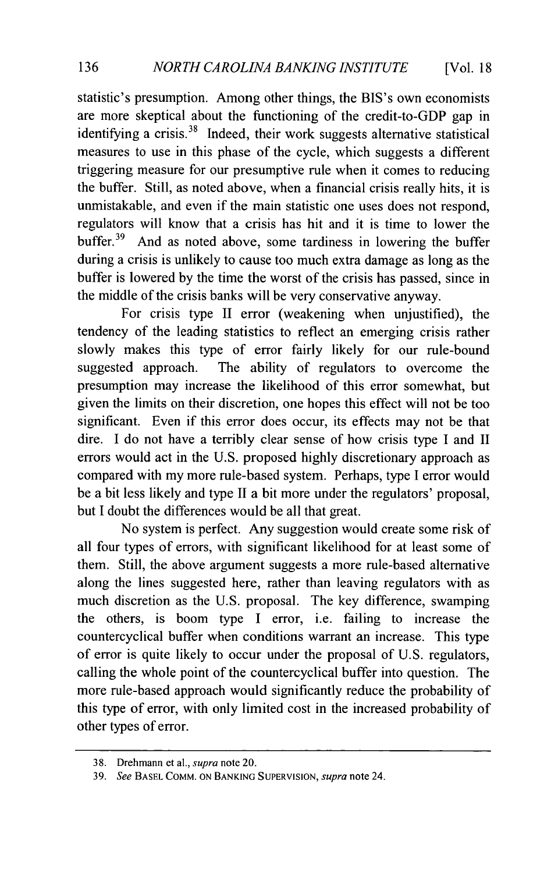statistic's presumption. Among other things, the BIS's own economists are more skeptical about the functioning of the credit-to-GDP gap in identifying a crisis.<sup>38</sup> Indeed, their work suggests alternative statistical measures to use in this phase of the cycle, which suggests a different triggering measure for our presumptive rule when it comes to reducing the buffer. Still, as noted above, when a financial crisis really hits, it **is** unmistakable, and even if the main statistic one uses does not respond, regulators will know that a crisis has hit and it is time to lower the buffer.<sup>39</sup> And as noted above, some tardiness in lowering the buffer during a crisis is unlikely to cause too much extra damage as long as the buffer is lowered **by** the time the worst of the crisis has passed, since in the middle of the crisis banks will be very conservative anyway.

For crisis type II error (weakening when unjustified), the tendency of the leading statistics to reflect an emerging crisis rather slowly makes this type of error fairly likely for our rule-bound suggested approach. The ability of regulators to overcome the presumption may increase the likelihood of this error somewhat, but given the limits on their discretion, one hopes this effect will not be too significant. Even if this error does occur, its effects may not be that dire. **I** do not have a terribly clear sense of how crisis type **I** and II errors would act in the **U.S.** proposed **highly** discretionary approach as compared with my more rule-based system. Perhaps, type **I** error would be a bit less likely and type II a bit more under the regulators' proposal, but I doubt the differences would be all that great.

No system is perfect. Any suggestion would create some risk of all four types of errors, with significant likelihood for at least some of them. Still, the above argument suggests a more rule-based alternative along the lines suggested here, rather than leaving regulators with as much discretion as the **U.S.** proposal. The key difference, swamping the others, is boom type **I** error, i.e. failing to increase the countercyclical buffer when conditions warrant an increase. This type of error is quite likely to occur under the proposal of **U.S.** regulators, calling the whole point of the countercyclical buffer into question. The more rule-based approach would significantly reduce the probability of this type of error, with only limited cost in the increased probability of other types of error.

**<sup>38.</sup>** Drehmann et al., *supra* note 20.

**<sup>39.</sup>** *See* **BASEL COMM. ON BANKING SUPERVISION,** *supra* note 24.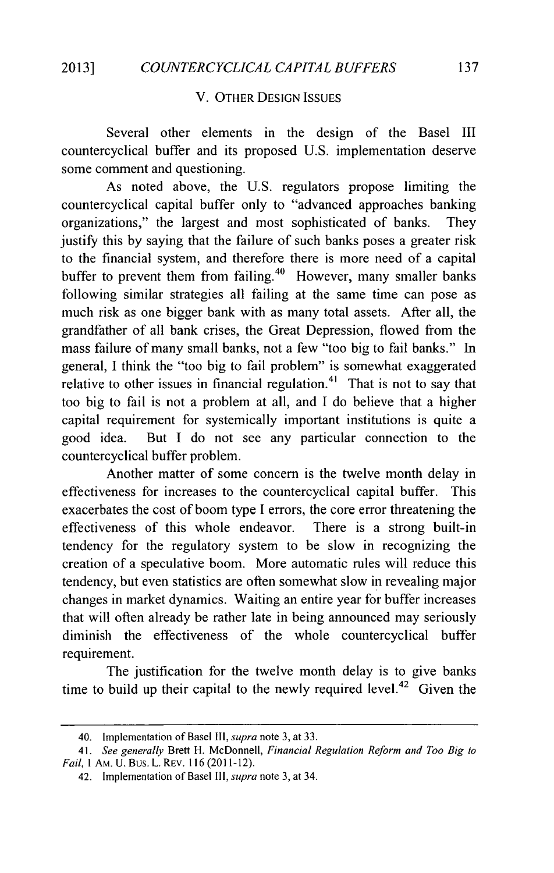# V. OTHER **DESIGN ISSUES**

Several other elements in the design of the Basel **III** countercyclical buffer and its proposed **U.S.** implementation deserve some comment and questioning.

As noted above, the **U.S.** regulators propose limiting the countercyclical capital buffer only to "advanced approaches banking organizations," the largest and most sophisticated of banks. They justify this **by** saying that the failure of such banks poses a greater risk to the financial system, and therefore there is more need of a capital buffer to prevent them from failing.<sup>40</sup> However, many smaller banks following similar strategies all failing at the same time can pose as much risk as one bigger bank with as many total assets. After all, the grandfather of all bank crises, the Great Depression, flowed from the mass failure of many small banks, not a few "too **big** to fail banks." In general, **I** think the "too **big** to fail problem" is somewhat exaggerated relative to other issues in financial regulation.<sup> $41$ </sup> That is not to say that too big to fail is not a problem at all, and **I** do believe that a higher capital requirement for systemically important institutions is quite a good idea. But **I** do not see any particular connection to the countercyclical buffer problem.

Another matter of some concern is the twelve month delay in effectiveness for increases to the countercyclical capital buffer. This exacerbates the cost of boom type **I** errors, the core error threatening the effectiveness of this whole endeavor. There is a strong built-in tendency for the regulatory system to be slow in recognizing the creation of a speculative boom. More automatic rules will reduce this tendency, but even statistics are often somewhat slow in revealing major changes in market dynamics. Waiting an entire year for buffer increases that will often already be rather late in being announced may seriously diminish the effectiveness of the whole countercyclical buffer requirement.

The justification for the twelve month delay is to give banks time to build up their capital to the newly required level.<sup>42</sup> Given the

<sup>40.</sup> Implementation of Basel III, *supra* note **3,** at **33.**

*<sup>41.</sup> See generally* Brett H. McDonnell, *Financial Regulation Reform and Too Big to Fail, I* AM. U.Bus. L. REv. **116** (2011-12).

<sup>42.</sup> Implementation of Basel *111, supra* note **3,** at 34.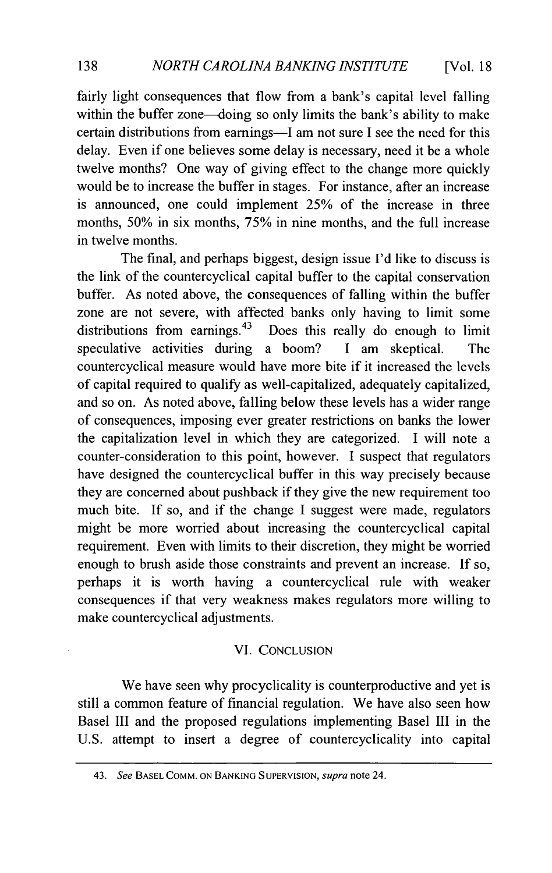fairly light consequences that flow from a bank's capital level falling within the buffer zone-doing so only limits the bank's ability to make certain distributions from earnings-I am not sure **I** see the need for this delay. Even if one believes some delay is necessary, need it be a whole twelve months? One way of giving effect to the change more quickly would be to increase the buffer in stages. For instance, after an increase is announced, one could implement *25%* of the increase in three months, *50%* in six months, *75%* in nine months, and the full increase in twelve months.

The final, and perhaps biggest, design issue **I'd** like to discuss is the link of the countercyclical capital buffer to the capital conservation buffer. As noted above, the consequences of falling within the buffer zone are not severe, with affected banks only having to limit some distributions from earnings.<sup>43</sup> Does this really do enough to limit Does this really do enough to limit speculative activities during a boom? **I** am skeptical. The countercyclical measure would have more bite **if** it increased the levels of capital required to qualify as well-capitalized, adequately capitalized, and so on. As noted above, falling below these levels has a wider range of consequences, imposing ever greater restrictions on banks the lower the capitalization level in which they are categorized. **I** will note a counter-consideration to this point, however. **I** suspect that regulators have designed the countercyclical buffer in this way precisely because they are concerned about pushback if they give the new requirement too much bite. **If** so, and **if** the change **I** suggest were made, regulators might be more worried about increasing the countercyclical capital requirement. Even with limits to their discretion, they might be worried enough to brush aside those constraints and prevent an increase. **If** so, perhaps it is worth having a countercyclical rule with weaker consequences if that very weakness makes regulators more willing to make countercyclical adjustments.

# VI. **CONCLUSION**

We have seen why procyclicality is counterproductive and yet is still a common feature of financial regulation. We have also seen how Basel **III** and the proposed regulations implementing Basel **III** in the **U.S.** attempt to insert a degree of countercyclicality into capital

<sup>43.</sup> *See* **BASEL COMM. ON BANKING SUPERVISION,** *supra* note 24.